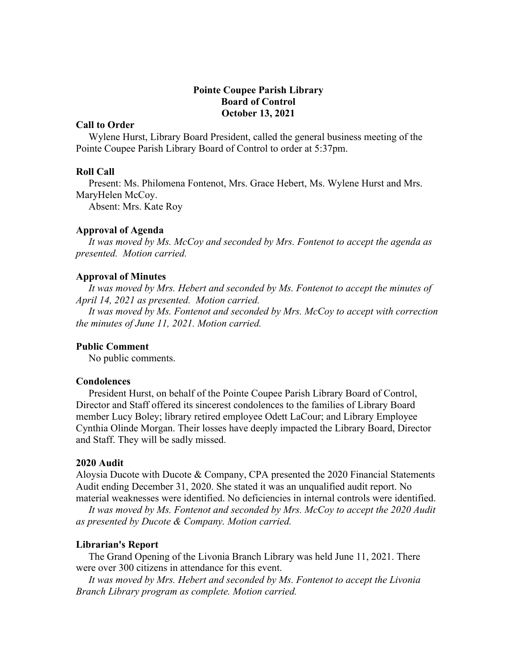# **Pointe Coupee Parish Library Board of Control October 13, 2021**

# **Call to Order**

 Wylene Hurst, Library Board President, called the general business meeting of the Pointe Coupee Parish Library Board of Control to order at 5:37pm.

# **Roll Call**

 Present: Ms. Philomena Fontenot, Mrs. Grace Hebert, Ms. Wylene Hurst and Mrs. MaryHelen McCoy.

Absent: Mrs. Kate Roy

### **Approval of Agenda**

 *It was moved by Ms. McCoy and seconded by Mrs. Fontenot to accept the agenda as presented. Motion carried.*

### **Approval of Minutes**

 *It was moved by Mrs. Hebert and seconded by Ms. Fontenot to accept the minutes of April 14, 2021 as presented. Motion carried.*

 *It was moved by Ms. Fontenot and seconded by Mrs. McCoy to accept with correction the minutes of June 11, 2021. Motion carried.*

# **Public Comment**

No public comments.

# **Condolences**

 President Hurst, on behalf of the Pointe Coupee Parish Library Board of Control, Director and Staff offered its sincerest condolences to the families of Library Board member Lucy Boley; library retired employee Odett LaCour; and Library Employee Cynthia Olinde Morgan. Their losses have deeply impacted the Library Board, Director and Staff. They will be sadly missed.

#### **2020 Audit**

Aloysia Ducote with Ducote & Company, CPA presented the 2020 Financial Statements Audit ending December 31, 2020. She stated it was an unqualified audit report. No material weaknesses were identified. No deficiencies in internal controls were identified.

 *It was moved by Ms. Fontenot and seconded by Mrs. McCoy to accept the 2020 Audit as presented by Ducote & Company. Motion carried.*

#### **Librarian's Report**

 The Grand Opening of the Livonia Branch Library was held June 11, 2021. There were over 300 citizens in attendance for this event.

 *It was moved by Mrs. Hebert and seconded by Ms. Fontenot to accept the Livonia Branch Library program as complete. Motion carried.*